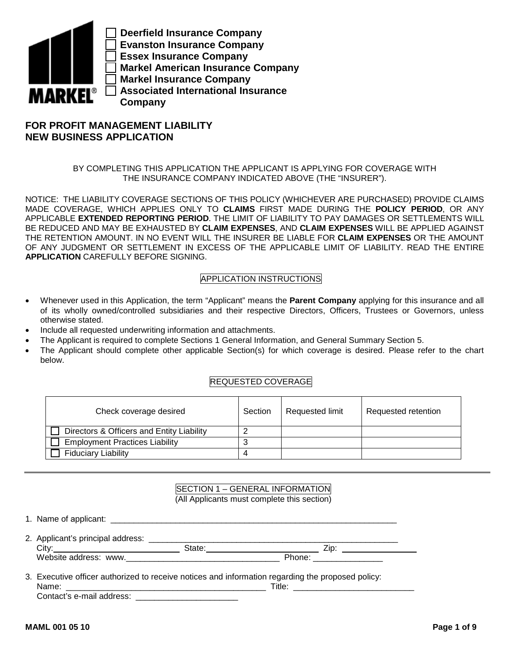

**Deerfield Insurance Company Evanston Insurance Company Essex Insurance Company Markel American Insurance Company Markel Insurance Company Associated International Insurance Company** 

# **FOR PROFIT MANAGEMENT LIABILITY NEW BUSINESS APPLICATION**

BY COMPLETING THIS APPLICATION THE APPLICANT IS APPLYING FOR COVERAGE WITH THE INSURANCE COMPANY INDICATED ABOVE (THE "INSURER").

NOTICE: THE LIABILITY COVERAGE SECTIONS OF THIS POLICY (WHICHEVER ARE PURCHASED) PROVIDE CLAIMS MADE COVERAGE, WHICH APPLIES ONLY TO **CLAIMS** FIRST MADE DURING THE **POLICY PERIOD**, OR ANY APPLICABLE **EXTENDED REPORTING PERIOD**. THE LIMIT OF LIABILITY TO PAY DAMAGES OR SETTLEMENTS WILL BE REDUCED AND MAY BE EXHAUSTED BY **CLAIM EXPENSES**, AND **CLAIM EXPENSES** WILL BE APPLIED AGAINST THE RETENTION AMOUNT. IN NO EVENT WILL THE INSURER BE LIABLE FOR **CLAIM EXPENSES** OR THE AMOUNT OF ANY JUDGMENT OR SETTLEMENT IN EXCESS OF THE APPLICABLE LIMIT OF LIABILITY. READ THE ENTIRE **APPLICATION** CAREFULLY BEFORE SIGNING.

# APPLICATION INSTRUCTIONS

- Whenever used in this Application, the term "Applicant" means the **Parent Company** applying for this insurance and all of its wholly owned/controlled subsidiaries and their respective Directors, Officers, Trustees or Governors, unless otherwise stated.
- Include all requested underwriting information and attachments.
- The Applicant is required to complete Sections 1 General Information, and General Summary Section 5.
- The Applicant should complete other applicable Section(s) for which coverage is desired. Please refer to the chart below.

# REQUESTED COVERAGE

| Check coverage desired                    | Section | <b>Requested limit</b> | Requested retention |
|-------------------------------------------|---------|------------------------|---------------------|
| Directors & Officers and Entity Liability |         |                        |                     |
| <b>Employment Practices Liability</b>     |         |                        |                     |
| <b>Fiduciary Liability</b>                |         |                        |                     |

## SECTION 1 – GENERAL INFORMATION (All Applicants must complete this section)

| 2. Applicant's principal address: _______________<br>City: | State: | Zip:                                                                                                                                                                                                                                   |  |
|------------------------------------------------------------|--------|----------------------------------------------------------------------------------------------------------------------------------------------------------------------------------------------------------------------------------------|--|
| Website address: www.                                      |        | Phone: ________________                                                                                                                                                                                                                |  |
| $\sim$ $\sim$                                              |        | $\mathcal{A}$ and $\mathcal{A}$ are the set of the set of the set of the set of the set of the set of the set of the set of the set of the set of the set of the set of the set of the set of the set of the set of the set of the set |  |

3. Executive officer authorized to receive notices and information regarding the proposed policy: Name: \_\_\_\_\_\_\_\_\_\_\_\_\_\_\_\_\_\_\_\_\_\_\_\_\_\_\_\_\_\_\_\_\_\_\_\_\_\_\_\_\_\_\_ Title: \_\_\_\_\_\_\_\_\_\_\_\_\_\_\_\_\_\_\_\_\_\_\_\_\_\_ Contact's e-mail address: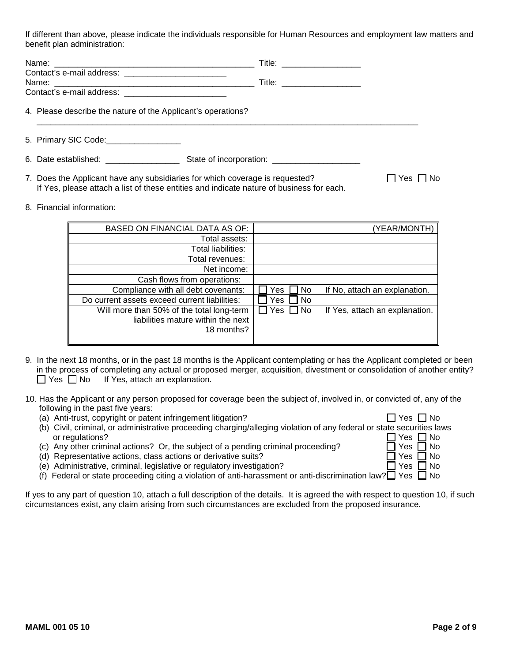If different than above, please indicate the individuals responsible for Human Resources and employment law matters and benefit plan administration:

|                                                                                                                                                                                                                               | Title: $\frac{1}{\sqrt{1-\frac{1}{2}}\sqrt{1-\frac{1}{2}}\sqrt{1-\frac{1}{2}}\sqrt{1-\frac{1}{2}}\sqrt{1-\frac{1}{2}}}}$ |
|-------------------------------------------------------------------------------------------------------------------------------------------------------------------------------------------------------------------------------|--------------------------------------------------------------------------------------------------------------------------|
|                                                                                                                                                                                                                               | Title: ___________________                                                                                               |
| Contact's e-mail address: _________________________                                                                                                                                                                           |                                                                                                                          |
| 4. Please describe the nature of the Applicant's operations?                                                                                                                                                                  |                                                                                                                          |
| 5. Primary SIC Code: __________________                                                                                                                                                                                       |                                                                                                                          |
| 6. Date established: example a state of the state of the state of the state of the state of the state of the state of the state of the state of the state of the state of the state of the state of the state of the state of | State of incorporation: _______________________                                                                          |

- 7. Does the Applicant have any subsidiaries for which coverage is requested?  $\Box$  Yes  $\Box$  No If Yes, please attach a list of these entities and indicate nature of business for each.
- 8. Financial information:

| BASED ON FINANCIAL DATA AS OF:                                                                | (YEAR/MONTH)                                       |
|-----------------------------------------------------------------------------------------------|----------------------------------------------------|
| Total assets:                                                                                 |                                                    |
| Total liabilities:                                                                            |                                                    |
| Total revenues:                                                                               |                                                    |
| Net income:                                                                                   |                                                    |
| Cash flows from operations:                                                                   |                                                    |
| Compliance with all debt covenants:                                                           | Yes<br><b>No</b><br>If No, attach an explanation.  |
| Do current assets exceed current liabilities:                                                 | No<br>Yes                                          |
| Will more than 50% of the total long-term<br>liabilities mature within the next<br>18 months? | Yes<br>$\Box$ No<br>If Yes, attach an explanation. |

- 9. In the next 18 months, or in the past 18 months is the Applicant contemplating or has the Applicant completed or been in the process of completing any actual or proposed merger, acquisition, divestment or consolidation of another entity?  $\Box$  Yes  $\Box$  No If Yes, attach an explanation.
- 10. Has the Applicant or any person proposed for coverage been the subject of, involved in, or convicted of, any of the following in the past five years:
	- (a) Anti-trust, copyright or patent infringement litigation?  $\Box$  Yes  $\Box$  No
	- (b) Civil, criminal, or administrative proceeding charging/alleging violation of any federal or state securities laws or regulations?  $\Box$  Yes  $\Box$  No<br>Any other criminal actions? Or, the subject of a pending criminal proceeding?  $\Box$  Yes  $\Box$  No
	- (c) Any other criminal actions? Or, the subject of a pending criminal proceeding?  $\Box$  Yes  $\Box$  No (d) Representative actions, class actions or derivative suits?
	- (d) Representative actions, class actions or derivative suits?
	- (e) Administrative, criminal, legislative or regulatory investigation?  $\Box$  Yes  $\Box$  No
	- (f) Federal or state proceeding citing a violation of anti-harassment or anti-discrimination law? $\Box$  Yes  $\Box$  No

If yes to any part of question 10, attach a full description of the details. It is agreed the with respect to question 10, if such circumstances exist, any claim arising from such circumstances are excluded from the proposed insurance.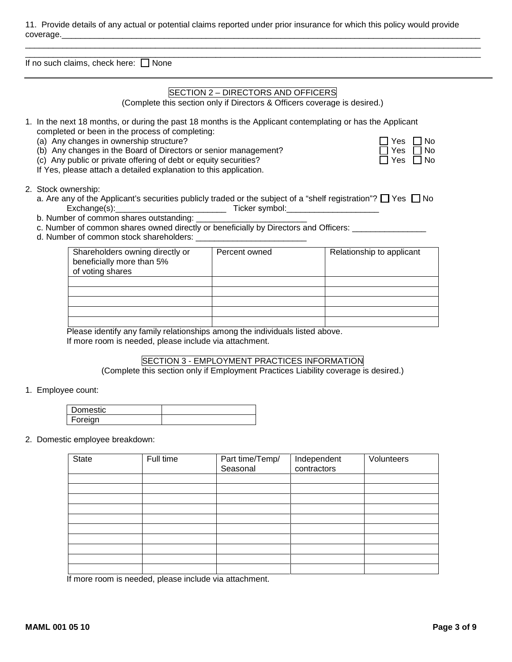Please identify any family relationships among the individuals listed above. If more room is needed, please include via attachment.

# SECTION 3 - EMPLOYMENT PRACTICES INFORMATION

Seasonal

Independent contractors

(Complete this section only if Employment Practices Liability coverage is desired.)

1. Employee count:

| Domestic |  |
|----------|--|
| Foreian  |  |

State | Full time | Part time/Temp/

If more room is needed, please include via attachment.

2. Domestic employee breakdown:

# **MAML 001 05 10 Page 3 of 9**

11. Provide details of any actual or potential claims reported under prior insurance for which this policy would provide coverage.\_\_\_\_\_\_\_\_\_\_\_\_\_\_\_\_\_\_\_\_\_\_\_\_\_\_\_\_\_\_\_\_\_\_\_\_\_\_\_\_\_\_\_\_\_\_\_\_\_\_\_\_\_\_\_\_\_\_\_\_\_\_\_\_\_\_\_\_\_\_\_\_\_\_\_\_\_\_\_\_\_\_\_\_\_\_\_\_\_\_

\_\_\_\_\_\_\_\_\_\_\_\_\_\_\_\_\_\_\_\_\_\_\_\_\_\_\_\_\_\_\_\_\_\_\_\_\_\_\_\_\_\_\_\_\_\_\_\_\_\_\_\_\_\_\_\_\_\_\_\_\_\_\_\_\_\_\_\_\_\_\_\_\_\_\_\_\_\_\_\_\_\_\_\_\_\_\_\_\_\_\_\_\_\_\_\_\_\_ If no such claims, check here:  $\Box$  None

# SECTION 2 – DIRECTORS AND OFFICERS

\_\_\_\_\_\_\_\_\_\_\_\_\_\_\_\_\_\_\_\_\_\_\_\_\_\_\_\_\_\_\_\_\_\_\_\_\_\_\_\_\_\_\_\_\_\_\_\_\_\_\_\_\_\_\_\_\_\_\_\_\_\_\_\_\_\_\_\_\_\_\_\_\_\_\_\_\_\_\_\_\_\_\_\_\_\_\_\_\_\_\_\_\_\_\_\_\_\_

(Complete this section only if Directors & Officers coverage is desired.)

- 1. In the next 18 months, or during the past 18 months is the Applicant contemplating or has the Applicant completed or been in the process of completing:
	- (a) Any changes in ownership structure?
	- (b) Any changes in the Board of Directors or senior management?
	- (c) Any public or private offering of debt or equity securities?

If Yes, please attach a detailed explanation to this application.

2. Stock ownership:

- a. Are any of the Applicant's securities publicly traded or the subject of a "shelf registration"? Yes No Exchange(s):\_\_\_\_\_\_\_\_\_\_\_\_\_\_\_\_\_\_\_\_\_\_\_\_ Ticker symbol:\_\_\_\_\_\_\_\_\_\_\_\_\_\_\_\_\_\_\_\_
- b. Number of common shares outstanding:
- c. Number of common shares owned directly or beneficially by Directors and Officers: \_\_\_\_\_\_\_\_\_\_\_\_\_\_
- d. Number of common stock shareholders: \_\_\_\_\_\_\_\_\_\_\_\_\_\_\_\_\_\_\_\_\_\_\_\_

| Shareholders owning directly or<br>beneficially more than 5%<br>of voting shares | Percent owned | Relationship to applicant |
|----------------------------------------------------------------------------------|---------------|---------------------------|
|                                                                                  |               |                           |
|                                                                                  |               |                           |
|                                                                                  |               |                           |
|                                                                                  |               |                           |
|                                                                                  |               |                           |

 $\Box$  Yes  $\Box$  No  $\Box$  Yes  $\Box$  No

**Volunteers** 

| r es | I INO     |
|------|-----------|
| Yes  | $\Box$ No |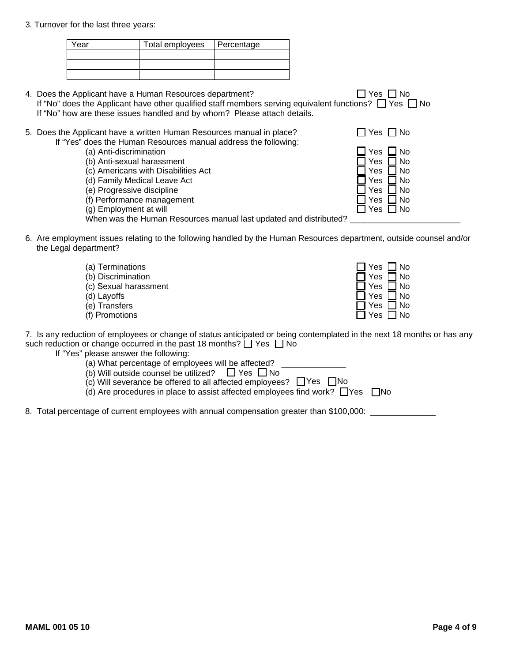# 3. Turnover for the last three years:

| Total employees   Percentage |  |
|------------------------------|--|
|                              |  |
|                              |  |
|                              |  |
|                              |  |

- 4. Yes No Does the Applicant have a Human Resources department? If "No" does the Applicant have other qualified staff members serving equivalent functions?  $\Box$  Yes  $\Box$  No If "No" how are these issues handled and by whom? Please attach details.
- 5. Does the Applicant have a written Human Resources manual in place?  $\Box$  Yes  $\Box$  No If "Yes" does the Human Resources manual address the following:
	- (a) Anti-discrimination
	- (b) Anti-sexual harassment
	- (c) Americans with Disabilities Act
	- (d) Family Medical Leave Act
	- (e) Progressive discipline
	- (f) Performance management
	- $(g)$  Employment at will
	- When was the Human Resources manual last updated and distributed? \_\_\_\_\_\_\_\_\_\_\_\_\_\_
- 6. Are employment issues relating to the following handled by the Human Resources department, outside counsel and/or the Legal department?
	- $\Box$  Yes  $\Box$  No Yes □ No Yes ∐ No Yes ∐ No Yes ∐ No (a) Terminations (b) Discrimination (c) Sexual harassment (d) Layoffs (e) Transfers (f) Promotions  $\Box$  Yes  $\Box$  No

7. Is any reduction of employees or change of status anticipated or being contemplated in the next 18 months or has any such reduction or change occurred in the past 18 months?  $\Box$  Yes  $\Box$  No

 $\overline{\phantom{a}}$ 

- If "Yes" please answer the following:
	- (a) What percentage of employees will be affected?
	- (b) Will outside counsel be utilized?  $\Box$  Yes  $\Box$  No
	- $(c)$  Will severance be offered to all affected employees?  $\Box$  Yes  $\Box$  No
	- (d) Are procedures in place to assist affected employees find work? □ Yes □ No
- 8. Total percentage of current employees with annual compensation greater than \$100,000: \_\_\_\_\_\_\_\_\_\_\_\_\_\_\_\_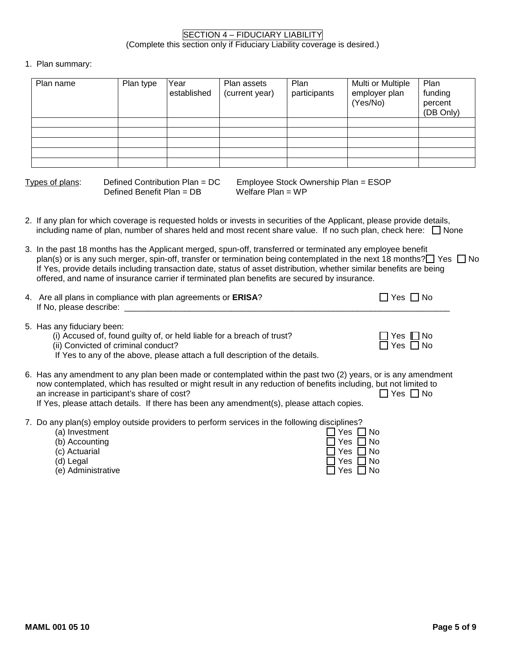# 1. Plan summary:

| Plan name | Plan type | Year<br>established | Plan assets<br>(current year) | Plan<br>participants | Multi or Multiple<br>employer plan<br>(Yes/No) | Plan<br>funding<br>percent<br>(DB Only) |
|-----------|-----------|---------------------|-------------------------------|----------------------|------------------------------------------------|-----------------------------------------|
|           |           |                     |                               |                      |                                                |                                         |
|           |           |                     |                               |                      |                                                |                                         |
|           |           |                     |                               |                      |                                                |                                         |
|           |           |                     |                               |                      |                                                |                                         |
|           |           |                     |                               |                      |                                                |                                         |

Defined Benefit Plan = DB Welfare Plan = WP

Types of plans: Defined Contribution Plan = DC Employee Stock Ownership Plan = ESOP

- 2. If any plan for which coverage is requested holds or invests in securities of the Applicant, please provide details, including name of plan, number of shares held and most recent share value. If no such plan, check here:  $\Box$  None
- 3. In the past 18 months has the Applicant merged, spun-off, transferred or terminated any employee benefit plan(s) or is any such merger, spin-off, transfer or termination being contemplated in the next 18 months?  $\Box$  Yes  $\Box$  No If Yes, provide details including transaction date, status of asset distribution, whether similar benefits are being offered, and name of insurance carrier if terminated plan benefits are secured by insurance.

| 4. Are all plans in compliance with plan agreements or ERISA? | $\Box$ Yes $\Box$ No |
|---------------------------------------------------------------|----------------------|
| If No, please describe:                                       |                      |

- 5. Has any fiduciary been:
	- (i) Accused of, found guilty of, or held liable for a breach of trust?  $\Box$  Yes  $\Box$  No (ii) Convicted of criminal conduct?
	- (ii) Convicted of criminal conduct?
	- If Yes to any of the above, please attach a full description of the details.
- 6. Has any amendment to any plan been made or contemplated within the past two (2) years, or is any amendment now contemplated, which has resulted or might result in any reduction of benefits including, but not limited to an increase in participant's share of cost? an increase in participant's share of cost? If Yes, please attach details. If there has been any amendment(s), please attach copies.
- 7. Do any plan(s) employ outside providers to perform services in the following disciplines?

| any planto, omploy oatoldo providere to pollomi convided in the following dicciplintos. |                      |
|-----------------------------------------------------------------------------------------|----------------------|
| (a) Investment                                                                          | 7 Yes ∩No            |
| (b) Accounting                                                                          | $\Box$ Yes $\Box$ No |
| (c) Actuarial                                                                           | $\Box$ Yes $\Box$ No |
| (d) Legal                                                                               | $\Box$ Yes $\Box$ No |
| (e) Administrative                                                                      | $\Box$ Yes $\Box$ No |
|                                                                                         |                      |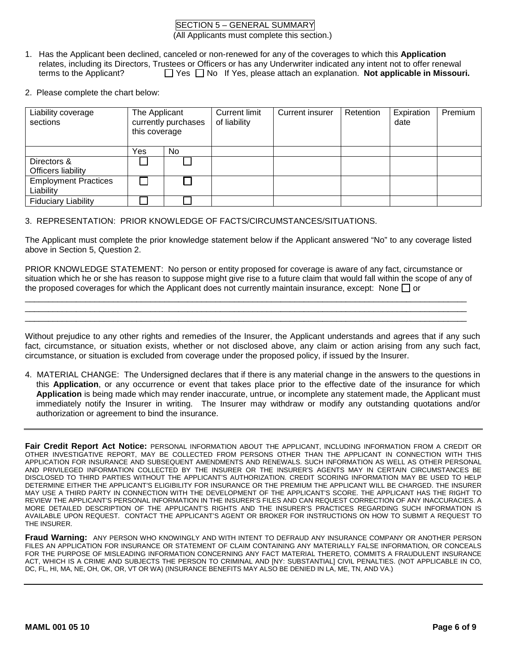# SECTION 5 – GENERAL SUMMARY

(All Applicants must complete this section.)

- 1. Has the Applicant been declined, canceled or non-renewed for any of the coverages to which this **Application** relates, including its Directors, Trustees or Officers or has any Underwriter indicated any intent not to offer renewal terms to the Applicant? □ Yes □ No If Yes, please attach an explanation. **Not applicable in Missouri.**
- 2. Please complete the chart below:

| Liability coverage<br>sections           | The Applicant<br>currently purchases<br>this coverage |     | Current limit<br>of liability | Current insurer | Retention | Expiration<br>date | Premium |
|------------------------------------------|-------------------------------------------------------|-----|-------------------------------|-----------------|-----------|--------------------|---------|
|                                          | Yes                                                   | No. |                               |                 |           |                    |         |
| Directors &<br>Officers liability        |                                                       |     |                               |                 |           |                    |         |
| <b>Employment Practices</b><br>Liability |                                                       |     |                               |                 |           |                    |         |
| <b>Fiduciary Liability</b>               |                                                       |     |                               |                 |           |                    |         |

# 3. REPRESENTATION: PRIOR KNOWLEDGE OF FACTS/CIRCUMSTANCES/SITUATIONS.

The Applicant must complete the prior knowledge statement below if the Applicant answered "No" to any coverage listed above in Section 5, Question 2.

PRIOR KNOWLEDGE STATEMENT: No person or entity proposed for coverage is aware of any fact, circumstance or situation which he or she has reason to suppose might give rise to a future claim that would fall within the scope of any of the proposed coverages for which the Applicant does not currently maintain insurance, except: None  $\Box$  or

\_\_\_\_\_\_\_\_\_\_\_\_\_\_\_\_\_\_\_\_\_\_\_\_\_\_\_\_\_\_\_\_\_\_\_\_\_\_\_\_\_\_\_\_\_\_\_\_\_\_\_\_\_\_\_\_\_\_\_\_\_\_\_\_\_\_\_\_\_\_\_\_\_\_\_\_\_\_\_\_\_\_\_\_\_\_\_\_\_\_\_\_\_\_\_ \_\_\_\_\_\_\_\_\_\_\_\_\_\_\_\_\_\_\_\_\_\_\_\_\_\_\_\_\_\_\_\_\_\_\_\_\_\_\_\_\_\_\_\_\_\_\_\_\_\_\_\_\_\_\_\_\_\_\_\_\_\_\_\_\_\_\_\_\_\_\_\_\_\_\_\_\_\_\_\_\_\_\_\_\_\_\_\_\_\_\_\_\_\_\_ \_\_\_\_\_\_\_\_\_\_\_\_\_\_\_\_\_\_\_\_\_\_\_\_\_\_\_\_\_\_\_\_\_\_\_\_\_\_\_\_\_\_\_\_\_\_\_\_\_\_\_\_\_\_\_\_\_\_\_\_\_\_\_\_\_\_\_\_\_\_\_\_\_\_\_\_\_\_\_\_\_\_\_\_\_\_\_\_\_\_\_\_\_\_\_

Without prejudice to any other rights and remedies of the Insurer, the Applicant understands and agrees that if any such fact, circumstance, or situation exists, whether or not disclosed above, any claim or action arising from any such fact, circumstance, or situation is excluded from coverage under the proposed policy, if issued by the Insurer.

4. MATERIAL CHANGE: The Undersigned declares that if there is any material change in the answers to the questions in this **Application**, or any occurrence or event that takes place prior to the effective date of the insurance for which **Application** is being made which may render inaccurate, untrue, or incomplete any statement made, the Applicant must immediately notify the Insurer in writing. The Insurer may withdraw or modify any outstanding quotations and/or authorization or agreement to bind the insurance.

**Fair Credit Report Act Notice:** PERSONAL INFORMATION ABOUT THE APPLICANT, INCLUDING INFORMATION FROM A CREDIT OR OTHER INVESTIGATIVE REPORT, MAY BE COLLECTED FROM PERSONS OTHER THAN THE APPLICANT IN CONNECTION WITH THIS APPLICATION FOR INSURANCE AND SUBSEQUENT AMENDMENTS AND RENEWALS. SUCH INFORMATION AS WELL AS OTHER PERSONAL AND PRIVILEGED INFORMATION COLLECTED BY THE INSURER OR THE INSURER'S AGENTS MAY IN CERTAIN CIRCUMSTANCES BE DISCLOSED TO THIRD PARTIES WITHOUT THE APPLICANT'S AUTHORIZATION. CREDIT SCORING INFORMATION MAY BE USED TO HELP DETERMINE EITHER THE APPLICANT'S ELIGIBILITY FOR INSURANCE OR THE PREMIUM THE APPLICANT WILL BE CHARGED. THE INSURER MAY USE A THIRD PARTY IN CONNECTION WITH THE DEVELOPMENT OF THE APPLICANT'S SCORE. THE APPLICANT HAS THE RIGHT TO REVIEW THE APPLICANT'S PERSONAL INFORMATION IN THE INSURER'S FILES AND CAN REQUEST CORRECTION OF ANY INACCURACIES. A MORE DETAILED DESCRIPTION OF THE APPLICANT'S RIGHTS AND THE INSURER'S PRACTICES REGARDING SUCH INFORMATION IS AVAILABLE UPON REQUEST. CONTACT THE APPLICANT'S AGENT OR BROKER FOR INSTRUCTIONS ON HOW TO SUBMIT A REQUEST TO THE INSURER.

**Fraud Warning:** ANY PERSON WHO KNOWINGLY AND WITH INTENT TO DEFRAUD ANY INSURANCE COMPANY OR ANOTHER PERSON FILES AN APPLICATION FOR INSURANCE OR STATEMENT OF CLAIM CONTAINING ANY MATERIALLY FALSE INFORMATION, OR CONCEALS FOR THE PURPOSE OF MISLEADING INFORMATION CONCERNING ANY FACT MATERIAL THERETO, COMMITS A FRAUDULENT INSURANCE ACT, WHICH IS A CRIME AND SUBJECTS THE PERSON TO CRIMINAL AND [NY: SUBSTANTIAL] CIVIL PENALTIES. (NOT APPLICABLE IN CO, DC, FL, HI, MA, NE, OH, OK, OR, VT OR WA) (INSURANCE BENEFITS MAY ALSO BE DENIED IN LA, ME, TN, AND VA.)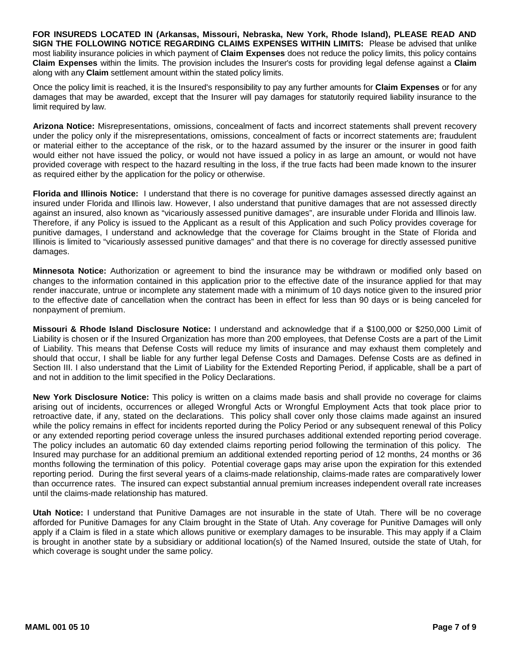**FOR INSUREDS LOCATED IN (Arkansas, Missouri, Nebraska, New York, Rhode Island), PLEASE READ AND SIGN THE FOLLOWING NOTICE REGARDING CLAIMS EXPENSES WITHIN LIMITS:** Please be advised that unlike most liability insurance policies in which payment of **Claim Expenses** does not reduce the policy limits, this policy contains **Claim Expenses** within the limits. The provision includes the Insurer's costs for providing legal defense against a **Claim** along with any **Claim** settlement amount within the stated policy limits.

Once the policy limit is reached, it is the Insured's responsibility to pay any further amounts for **Claim Expenses** or for any damages that may be awarded, except that the Insurer will pay damages for statutorily required liability insurance to the limit required by law.

**Arizona Notice:** Misrepresentations, omissions, concealment of facts and incorrect statements shall prevent recovery under the policy only if the misrepresentations, omissions, concealment of facts or incorrect statements are; fraudulent or material either to the acceptance of the risk, or to the hazard assumed by the insurer or the insurer in good faith would either not have issued the policy, or would not have issued a policy in as large an amount, or would not have provided coverage with respect to the hazard resulting in the loss, if the true facts had been made known to the insurer as required either by the application for the policy or otherwise.

**Florida and Illinois Notice:** I understand that there is no coverage for punitive damages assessed directly against an insured under Florida and Illinois law. However, I also understand that punitive damages that are not assessed directly against an insured, also known as "vicariously assessed punitive damages", are insurable under Florida and Illinois law. Therefore, if any Policy is issued to the Applicant as a result of this Application and such Policy provides coverage for punitive damages, I understand and acknowledge that the coverage for Claims brought in the State of Florida and Illinois is limited to "vicariously assessed punitive damages" and that there is no coverage for directly assessed punitive damages.

**Minnesota Notice:** Authorization or agreement to bind the insurance may be withdrawn or modified only based on changes to the information contained in this application prior to the effective date of the insurance applied for that may render inaccurate, untrue or incomplete any statement made with a minimum of 10 days notice given to the insured prior to the effective date of cancellation when the contract has been in effect for less than 90 days or is being canceled for nonpayment of premium.

**Missouri & Rhode Island Disclosure Notice:** I understand and acknowledge that if a \$100,000 or \$250,000 Limit of Liability is chosen or if the Insured Organization has more than 200 employees, that Defense Costs are a part of the Limit of Liability. This means that Defense Costs will reduce my limits of insurance and may exhaust them completely and should that occur, I shall be liable for any further legal Defense Costs and Damages. Defense Costs are as defined in Section III. I also understand that the Limit of Liability for the Extended Reporting Period, if applicable, shall be a part of and not in addition to the limit specified in the Policy Declarations.

**New York Disclosure Notice:** This policy is written on a claims made basis and shall provide no coverage for claims arising out of incidents, occurrences or alleged Wrongful Acts or Wrongful Employment Acts that took place prior to retroactive date, if any, stated on the declarations. This policy shall cover only those claims made against an insured while the policy remains in effect for incidents reported during the Policy Period or any subsequent renewal of this Policy or any extended reporting period coverage unless the insured purchases additional extended reporting period coverage. The policy includes an automatic 60 day extended claims reporting period following the termination of this policy. The Insured may purchase for an additional premium an additional extended reporting period of 12 months, 24 months or 36 months following the termination of this policy. Potential coverage gaps may arise upon the expiration for this extended reporting period. During the first several years of a claims-made relationship, claims-made rates are comparatively lower than occurrence rates. The insured can expect substantial annual premium increases independent overall rate increases until the claims-made relationship has matured.

**Utah Notice:** I understand that Punitive Damages are not insurable in the state of Utah. There will be no coverage afforded for Punitive Damages for any Claim brought in the State of Utah. Any coverage for Punitive Damages will only apply if a Claim is filed in a state which allows punitive or exemplary damages to be insurable. This may apply if a Claim is brought in another state by a subsidiary or additional location(s) of the Named Insured, outside the state of Utah, for which coverage is sought under the same policy.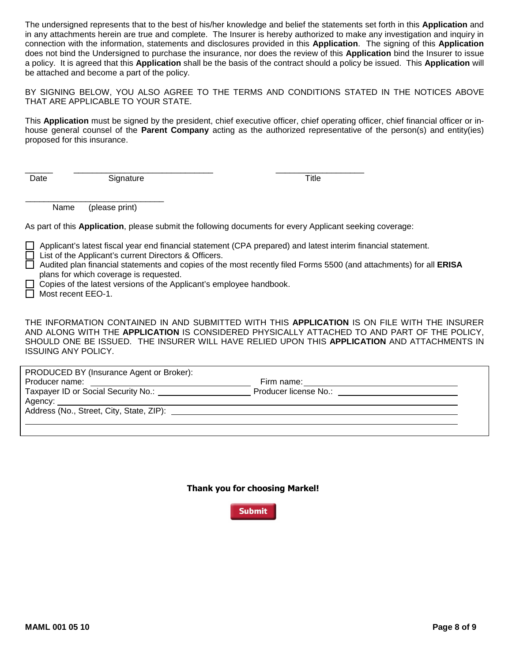The undersigned represents that to the best of his/her knowledge and belief the statements set forth in this **Application** and in any attachments herein are true and complete. The Insurer is hereby authorized to make any investigation and inquiry in connection with the information, statements and disclosures provided in this **Application**. The signing of this **Application** does not bind the Undersigned to purchase the insurance, nor does the review of this **Application** bind the Insurer to issue a policy. It is agreed that this **Application** shall be the basis of the contract should a policy be issued. This **Application** will be attached and become a part of the policy.

BY SIGNING BELOW, YOU ALSO AGREE TO THE TERMS AND CONDITIONS STATED IN THE NOTICES ABOVE THAT ARE APPLICABLE TO YOUR STATE.

This **Application** must be signed by the president, chief executive officer, chief operating officer, chief financial officer or inhouse general counsel of the **Parent Company** acting as the authorized representative of the person(s) and entity(ies) proposed for this insurance.

Date Signature Signature Title

\_\_\_\_\_\_\_\_\_\_\_\_\_\_\_\_\_\_\_\_\_\_\_\_\_\_\_\_\_\_ Name (please print)

As part of this **Application**, please submit the following documents for every Applicant seeking coverage:

\_\_\_\_\_\_ \_\_\_\_\_\_\_\_\_\_\_\_\_\_\_\_\_\_\_\_\_\_\_\_\_\_\_\_\_\_ \_\_\_\_\_\_\_\_\_\_\_\_\_\_\_\_\_\_\_

Applicant's latest fiscal year end financial statement (CPA prepared) and latest interim financial statement. □ List of the Applicant's current Directors & Officers. Audited plan financial statements and copies of the most recently filed Forms 5500 (and attachments) for all **ERISA**

plans for which coverage is requested.

 $\Box$  Copies of the latest versions of the Applicant's employee handbook.

Most recent EEO-1.

THE INFORMATION CONTAINED IN AND SUBMITTED WITH THIS **APPLICATION** IS ON FILE WITH THE INSURER AND ALONG WITH THE **APPLICATION** IS CONSIDERED PHYSICALLY ATTACHED TO AND PART OF THE POLICY, SHOULD ONE BE ISSUED. THE INSURER WILL HAVE RELIED UPON THIS **APPLICATION** AND ATTACHMENTS IN ISSUING ANY POLICY.

**Eirm name:** Taxpayer ID or Social Security No.: \_\_\_\_\_\_\_\_\_\_\_\_\_\_\_\_\_\_\_\_\_\_\_\_\_\_\_\_\_\_\_\_Producer license No.: PRODUCED BY (Insurance Agent or Broker): Producer name: Agency: Address (No., Street, City, State, ZIP):

**Thank you for choosing Markel!** 

**Submit**